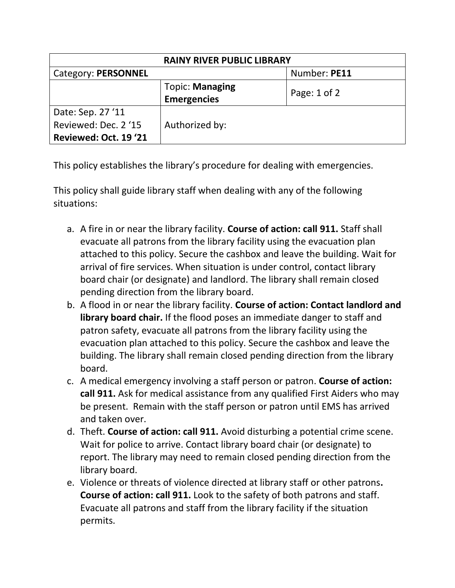| <b>RAINY RIVER PUBLIC LIBRARY</b> |                                              |                  |  |
|-----------------------------------|----------------------------------------------|------------------|--|
| Category: PERSONNEL               |                                              | Number: PE11     |  |
|                                   | <b>Topic: Managing</b><br><b>Emergencies</b> | Page: $1$ of $2$ |  |
| Date: Sep. 27 '11                 |                                              |                  |  |
| Reviewed: Dec. 2 '15              | Authorized by:                               |                  |  |
| Reviewed: Oct. 19 '21             |                                              |                  |  |

This policy establishes the library's procedure for dealing with emergencies.

This policy shall guide library staff when dealing with any of the following situations:

- a. A fire in or near the library facility. **Course of action: call 911.** Staff shall evacuate all patrons from the library facility using the evacuation plan attached to this policy. Secure the cashbox and leave the building. Wait for arrival of fire services. When situation is under control, contact library board chair (or designate) and landlord. The library shall remain closed pending direction from the library board.
- b. A flood in or near the library facility. **Course of action: Contact landlord and library board chair.** If the flood poses an immediate danger to staff and patron safety, evacuate all patrons from the library facility using the evacuation plan attached to this policy. Secure the cashbox and leave the building. The library shall remain closed pending direction from the library board.
- c. A medical emergency involving a staff person or patron. **Course of action: call 911.** Ask for medical assistance from any qualified First Aiders who may be present. Remain with the staff person or patron until EMS has arrived and taken over.
- d. Theft. **Course of action: call 911.** Avoid disturbing a potential crime scene. Wait for police to arrive. Contact library board chair (or designate) to report. The library may need to remain closed pending direction from the library board.
- e. Violence or threats of violence directed at library staff or other patrons**. Course of action: call 911.** Look to the safety of both patrons and staff. Evacuate all patrons and staff from the library facility if the situation permits.